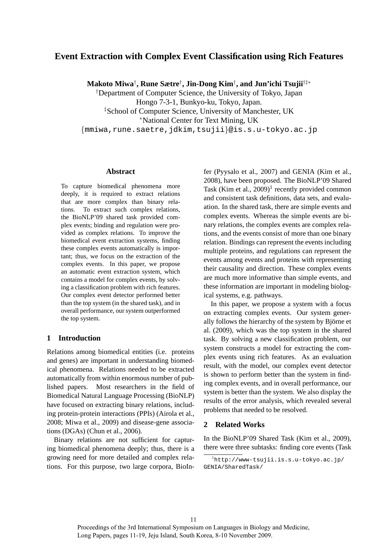# **Event Extraction with Complex Event Classification using Rich Features**

**Makoto Miwa**† **, Rune Sætre**† **, Jin-Dong Kim**† **, and Jun'ichi Tsujii**†‡∗

†Department of Computer Science, the University of Tokyo, Japan

Hongo 7-3-1, Bunkyo-ku, Tokyo, Japan.

‡School of Computer Science, University of Manchester, UK

<sup>∗</sup>National Center for Text Mining, UK

{mmiwa,rune.saetre,jdkim,tsujii}@is.s.u-tokyo.ac.jp

#### **Abstract**

To capture biomedical phenomena more deeply, it is required to extract relations that are more complex than binary relations. To extract such complex relations, the BioNLP'09 shared task provided complex events; binding and regulation were provided as complex relations. To improve the biomedical event extraction systems, finding these complex events automatically is important; thus, we focus on the extraction of the complex events. In this paper, we propose an automatic event extraction system, which contains a model for complex events, by solving a classification problem with rich features. Our complex event detector performed better than the top system (in the shared task), and in overall performance, our system outperformed the top system.

# **1 Introduction**

Relations among biomedical entities (i.e. proteins and genes) are important in understanding biomedical phenomena. Relations needed to be extracted automatically from within enormous number of published papers. Most researchers in the field of Biomedical Natural Language Processing (BioNLP) have focused on extracting binary relations, including protein-protein interactions (PPIs) (Airola et al., 2008; Miwa et al., 2009) and disease-gene associations (DGAs) (Chun et al., 2006).

Binary relations are not sufficient for capturing biomedical phenomena deeply; thus, there is a growing need for more detailed and complex relations. For this purpose, two large corpora, BioIn-

fer (Pyysalo et al., 2007) and GENIA (Kim et al., 2008), have been proposed. The BioNLP'09 Shared Task (Kim et al.,  $2009$ )<sup>1</sup> recently provided common and consistent task definitions, data sets, and evaluation. In the shared task, there are simple events and complex events. Whereas the simple events are binary relations, the complex events are complex relations, and the events consist of more than one binary relation. Bindings can represent the events including multiple proteins, and regulations can represent the events among events and proteins with representing their causality and direction. These complex events are much more informative than simple events, and these information are important in modeling biological systems, e.g. pathways.

In this paper, we propose a system with a focus on extracting complex events. Our system generally follows the hierarchy of the system by Björne et al. (2009), which was the top system in the shared task. By solving a new classification problem, our system constructs a model for extracting the complex events using rich features. As an evaluation result, with the model, our complex event detector is shown to perform better than the system in finding complex events, and in overall performance, our system is better than the system. We also display the results of the error analysis, which revealed several problems that needed to be resolved.

#### **2 Related Works**

In the BioNLP'09 Shared Task (Kim et al., 2009), there were three subtasks: finding core events (Task

 $<sup>1</sup>$ http://www-tsujii.is.s.u-tokyo.ac.jp/</sup> GENIA/SharedTask/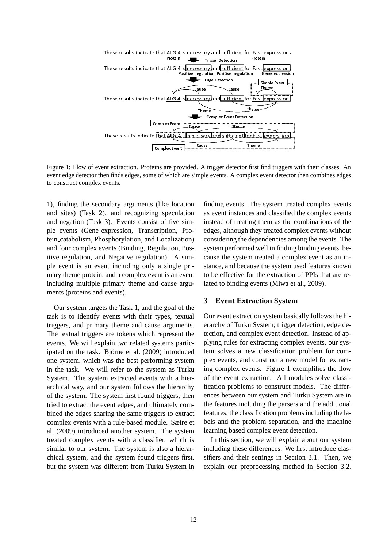

Figure 1: Flow of event extraction. Proteins are provided. A trigger detector first find triggers with their classes. An event edge detector then finds edges, some of which are simple events. A complex event detector then combines edges to construct complex events.

1), finding the secondary arguments (like location and sites) (Task 2), and recognizing speculation and negation (Task 3). Events consist of five simple events (Gene expression, Transcription, Protein catabolism, Phosphorylation, and Localization) and four complex events (Binding, Regulation, Positive regulation, and Negative regulation). A simple event is an event including only a single primary theme protein, and a complex event is an event including multiple primary theme and cause arguments (proteins and events).

Our system targets the Task 1, and the goal of the task is to identify events with their types, textual triggers, and primary theme and cause arguments. The textual triggers are tokens which represent the events. We will explain two related systems participated on the task. Björne et al. (2009) introduced one system, which was the best performing system in the task. We will refer to the system as Turku System. The system extracted events with a hierarchical way, and our system follows the hierarchy of the system. The system first found triggers, then tried to extract the event edges, and ultimately combined the edges sharing the same triggers to extract complex events with a rule-based module. Sætre et al. (2009) introduced another system. The system treated complex events with a classifier, which is similar to our system. The system is also a hierarchical system, and the system found triggers first, but the system was different from Turku System in

finding events. The system treated complex events as event instances and classified the complex events instead of treating them as the combinations of the edges, although they treated complex events without considering the dependencies among the events. The system performed well in finding binding events, because the system treated a complex event as an instance, and because the system used features known to be effective for the extraction of PPIs that are related to binding events (Miwa et al., 2009).

#### **3 Event Extraction System**

Our event extraction system basically follows the hierarchy of Turku System; trigger detection, edge detection, and complex event detection. Instead of applying rules for extracting complex events, our system solves a new classification problem for complex events, and construct a new model for extracting complex events. Figure 1 exemplifies the flow of the event extraction. All modules solve classification problems to construct models. The differences between our system and Turku System are in the features including the parsers and the additional features, the classification problems including the labels and the problem separation, and the machine learning based complex event detection.

In this section, we will explain about our system including these differences. We first introduce classifiers and their settings in Section 3.1. Then, we explain our preprocessing method in Section 3.2.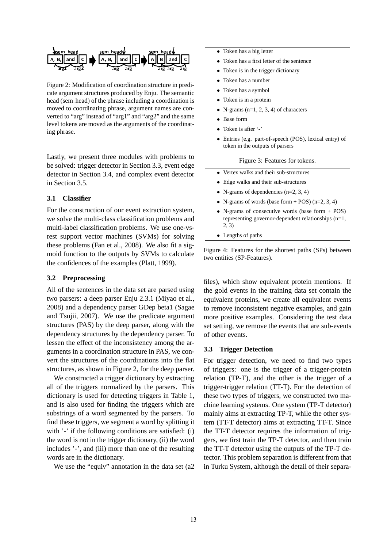

Figure 2: Modification of coordination structure in predicate argument structures produced by Enju. The semantic head (sem head) of the phrase including a coordination is moved to coordinating phrase, argument names are converted to "arg" instead of "arg1" and "arg2" and the same level tokens are moved as the arguments of the coordinating phrase.

Lastly, we present three modules with problems to be solved: trigger detector in Section 3.3, event edge detector in Section 3.4, and complex event detector in Section 3.5.

### **3.1 Classifier**

For the construction of our event extraction system, we solve the multi-class classification problems and multi-label classification problems. We use one-vsrest support vector machines (SVMs) for solving these problems (Fan et al., 2008). We also fit a sigmoid function to the outputs by SVMs to calculate the confidences of the examples (Platt, 1999).

#### **3.2 Preprocessing**

All of the sentences in the data set are parsed using two parsers: a deep parser Enju 2.3.1 (Miyao et al., 2008) and a dependency parser GDep beta1 (Sagae and Tsujii, 2007). We use the predicate argument structures (PAS) by the deep parser, along with the dependency structures by the dependency parser. To lessen the effect of the inconsistency among the arguments in a coordination structure in PAS, we convert the structures of the coordinations into the flat structures, as shown in Figure 2, for the deep parser.

We constructed a trigger dictionary by extracting all of the triggers normalized by the parsers. This dictionary is used for detecting triggers in Table 1, and is also used for finding the triggers which are substrings of a word segmented by the parsers. To find these triggers, we segment a word by splitting it with '-' if the following conditions are satisfied: (i) the word is not in the trigger dictionary, (ii) the word includes '-', and (iii) more than one of the resulting words are in the dictionary.

We use the "equiv" annotation in the data set (a2

- Token has a big letter
- Token has a first letter of the sentence
- Token is in the trigger dictionary
- Token has a number
- Token has a symbol
- Token is in a protein
- N-grams  $(n=1, 2, 3, 4)$  of characters
- Base form
- Token is after '-'
- Entries (e.g. part-of-speech (POS), lexical entry) of token in the outputs of parsers

#### Figure 3: Features for tokens.

- Vertex walks and their sub-structures
- Edge walks and their sub-structures
- N-grams of dependencies  $(n=2, 3, 4)$
- N-grams of words (base form  $+$  POS) (n=2, 3, 4)
- N-grams of consecutive words (base form + POS) representing governor-dependent relationships (n=1, 2, 3)
- Lengths of paths

Figure 4: Features for the shortest paths (SPs) between two entities (SP-Features).

files), which show equivalent protein mentions. If the gold events in the training data set contain the equivalent proteins, we create all equivalent events to remove inconsistent negative examples, and gain more positive examples. Considering the test data set setting, we remove the events that are sub-events of other events.

#### **3.3 Trigger Detection**

For trigger detection, we need to find two types of triggers: one is the trigger of a trigger-protein relation (TP-T), and the other is the trigger of a trigger-trigger relation (TT-T). For the detection of these two types of triggers, we constructed two machine learning systems. One system (TP-T detector) mainly aims at extracting TP-T, while the other system (TT-T detector) aims at extracting TT-T. Since the TT-T detector requires the information of triggers, we first train the TP-T detector, and then train the TT-T detector using the outputs of the TP-T detector. This problem separation is different from that in Turku System, although the detail of their separa-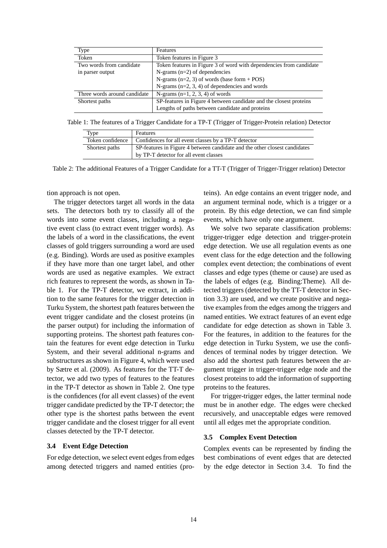| Type                         | Features                                                            |  |  |  |
|------------------------------|---------------------------------------------------------------------|--|--|--|
| Token                        | Token features in Figure 3                                          |  |  |  |
| Two words from candidate     | Token features in Figure 3 of word with dependencies from candidate |  |  |  |
| in parser output             | N-grams $(n=2)$ of dependencies                                     |  |  |  |
|                              | N-grams $(n=2, 3)$ of words (base form + POS)                       |  |  |  |
|                              | N-grams $(n=2, 3, 4)$ of dependencies and words                     |  |  |  |
| Three words around candidate | N-grams $(n=1, 2, 3, 4)$ of words                                   |  |  |  |
| Shortest paths               | SP-features in Figure 4 between candidate and the closest proteins  |  |  |  |
|                              | Lengths of paths between candidate and proteins                     |  |  |  |

Table 1: The features of a Trigger Candidate for a TP-T (Trigger of Trigger-Protein relation) Detector

| Type             | Features                                                                   |
|------------------|----------------------------------------------------------------------------|
| Token confidence | Confidences for all event classes by a TP-T detector                       |
| Shortest paths   | SP-features in Figure 4 between candidate and the other closest candidates |
|                  | by TP-T detector for all event classes                                     |

Table 2: The additional Features of a Trigger Candidate for a TT-T (Trigger of Trigger-Trigger relation) Detector

tion approach is not open.

The trigger detectors target all words in the data sets. The detectors both try to classify all of the words into some event classes, including a negative event class (to extract event trigger words). As the labels of a word in the classifications, the event classes of gold triggers surrounding a word are used (e.g. Binding). Words are used as positive examples if they have more than one target label, and other words are used as negative examples. We extract rich features to represent the words, as shown in Table 1. For the TP-T detector, we extract, in addition to the same features for the trigger detection in Turku System, the shortest path features between the event trigger candidate and the closest proteins (in the parser output) for including the information of supporting proteins. The shortest path features contain the features for event edge detection in Turku System, and their several additional n-grams and substructures as shown in Figure 4, which were used by Sætre et al. (2009). As features for the TT-T detector, we add two types of features to the features in the TP-T detector as shown in Table 2. One type is the confidences (for all event classes) of the event trigger candidate predicted by the TP-T detector; the other type is the shortest paths between the event trigger candidate and the closest trigger for all event classes detected by the TP-T detector.

### **3.4 Event Edge Detection**

For edge detection, we select event edges from edges among detected triggers and named entities (pro-

teins). An edge contains an event trigger node, and an argument terminal node, which is a trigger or a protein. By this edge detection, we can find simple events, which have only one argument.

We solve two separate classification problems: trigger-trigger edge detection and trigger-protein edge detection. We use all regulation events as one event class for the edge detection and the following complex event detection; the combinations of event classes and edge types (theme or cause) are used as the labels of edges (e.g. Binding:Theme). All detected triggers (detected by the TT-T detector in Section 3.3) are used, and we create positive and negative examples from the edges among the triggers and named entities. We extract features of an event edge candidate for edge detection as shown in Table 3. For the features, in addition to the features for the edge detection in Turku System, we use the confidences of terminal nodes by trigger detection. We also add the shortest path features between the argument trigger in trigger-trigger edge node and the closest proteins to add the information of supporting proteins to the features.

For trigger-trigger edges, the latter terminal node must be in another edge. The edges were checked recursively, and unacceptable edges were removed until all edges met the appropriate condition.

#### **3.5 Complex Event Detection**

Complex events can be represented by finding the best combinations of event edges that are detected by the edge detector in Section 3.4. To find the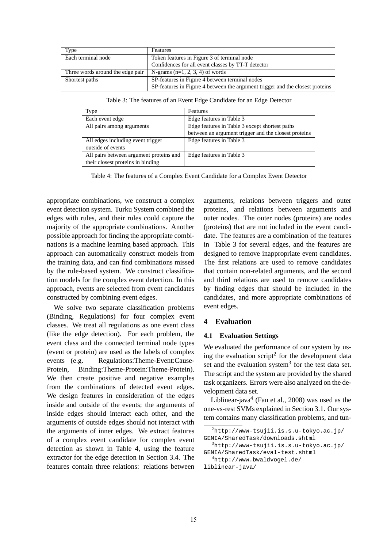| Type                             | Features                                                                      |  |  |
|----------------------------------|-------------------------------------------------------------------------------|--|--|
| Each terminal node               | Token features in Figure 3 of terminal node                                   |  |  |
|                                  | Confidences for all event classes by TT-T detector                            |  |  |
| Three words around the edge pair | N-grams $(n=1, 2, 3, 4)$ of words                                             |  |  |
| Shortest paths                   | SP-features in Figure 4 between terminal nodes                                |  |  |
|                                  | SP-features in Figure 4 between the argument trigger and the closest proteins |  |  |

Table 3: The features of an Event Edge Candidate for an Edge Detector

| Type                                    | <b>Features</b>                                      |
|-----------------------------------------|------------------------------------------------------|
| Each event edge                         | Edge features in Table 3                             |
| All pairs among arguments               | Edge features in Table 3 except shortest paths       |
|                                         | between an argument trigger and the closest proteins |
| All edges including event trigger       | Edge features in Table 3                             |
| outside of events                       |                                                      |
| All pairs between argument proteins and | Edge features in Table 3                             |
| their closest proteins in binding       |                                                      |

Table 4: The features of a Complex Event Candidate for a Complex Event Detector

appropriate combinations, we construct a complex event detection system. Turku System combined the edges with rules, and their rules could capture the majority of the appropriate combinations. Another possible approach for finding the appropriate combinations is a machine learning based approach. This approach can automatically construct models from the training data, and can find combinations missed by the rule-based system. We construct classification models for the complex event detection. In this approach, events are selected from event candidates constructed by combining event edges.

We solve two separate classification problems (Binding, Regulations) for four complex event classes. We treat all regulations as one event class (like the edge detection). For each problem, the event class and the connected terminal node types (event or protein) are used as the labels of complex events (e.g. Regulations:Theme-Event:Cause-Protein, Binding:Theme-Protein:Theme-Protein). We then create positive and negative examples from the combinations of detected event edges. We design features in consideration of the edges inside and outside of the events; the arguments of inside edges should interact each other, and the arguments of outside edges should not interact with the arguments of inner edges. We extract features of a complex event candidate for complex event detection as shown in Table 4, using the feature extractor for the edge detection in Section 3.4. The features contain three relations: relations between

arguments, relations between triggers and outer proteins, and relations between arguments and outer nodes. The outer nodes (proteins) are nodes (proteins) that are not included in the event candidate. The features are a combination of the features in Table 3 for several edges, and the features are designed to remove inappropriate event candidates. The first relations are used to remove candidates that contain non-related arguments, and the second and third relations are used to remove candidates by finding edges that should be included in the candidates, and more appropriate combinations of event edges.

### **4 Evaluation**

#### **4.1 Evaluation Settings**

We evaluated the performance of our system by using the evaluation script<sup>2</sup> for the development data set and the evaluation system<sup>3</sup> for the test data set. The script and the system are provided by the shared task organizers. Errors were also analyzed on the development data set.

Liblinear-java<sup>4</sup> (Fan et al., 2008) was used as the one-vs-rest SVMs explained in Section 3.1. Our system contains many classification problems, and tun-

 $3$ http://www-tsujii.is.s.u-tokyo.ac.jp/ GENIA/SharedTask/eval-test.shtml

<sup>4</sup>http://www.bwaldvogel.de/

```
liblinear-java/
```
 $2$ http://www-tsujii.is.s.u-tokyo.ac.jp/ GENIA/SharedTask/downloads.shtml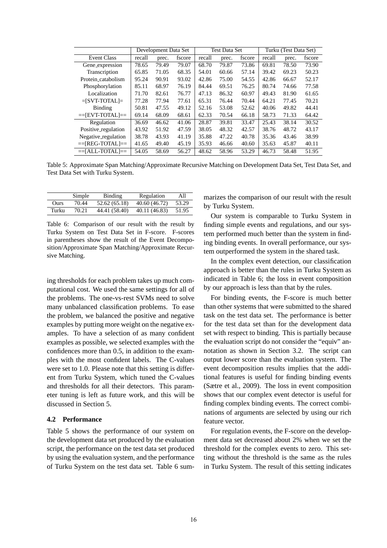|                     | Development Data Set |       | <b>Test Data Set</b> |        |       | Turku (Test Data Set) |        |       |        |
|---------------------|----------------------|-------|----------------------|--------|-------|-----------------------|--------|-------|--------|
| <b>Event Class</b>  | recall               | prec. | fscore               | recall | prec. | fscore                | recall | prec. | fscore |
| Gene_expression     | 78.65                | 79.49 | 79.07                | 68.70  | 79.87 | 73.86                 | 69.81  | 78.50 | 73.90  |
| Transcription       | 65.85                | 71.05 | 68.35                | 54.01  | 60.66 | 57.14                 | 39.42  | 69.23 | 50.23  |
| Protein_catabolism  | 95.24                | 90.91 | 93.02                | 42.86  | 75.00 | 54.55                 | 42.86  | 66.67 | 52.17  |
| Phosphorylation     | 85.11                | 68.97 | 76.19                | 84.44  | 69.51 | 76.25                 | 80.74  | 74.66 | 77.58  |
| Localization        | 71.70                | 82.61 | 76.77                | 47.13  | 86.32 | 60.97                 | 49.43  | 81.90 | 61.65  |
| $=$ [SVT-TOTAL] $=$ | 77.28                | 77.94 | 77.61                | 65.31  | 76.44 | 70.44                 | 64.21  | 77.45 | 70.21  |
| Binding             | 50.81                | 47.55 | 49.12                | 52.16  | 53.08 | 52.62                 | 40.06  | 49.82 | 44.41  |
| $=$ $EVT-TOTAL$ $=$ | 69.14                | 68.09 | 68.61                | 62.33  | 70.54 | 66.18                 | 58.73  | 71.33 | 64.42  |
| Regulation          | 36.69                | 46.62 | 41.06                | 28.87  | 39.81 | 33.47                 | 25.43  | 38.14 | 30.52  |
| Positive_regulation | 43.92                | 51.92 | 47.59                | 38.05  | 48.32 | 42.57                 | 38.76  | 48.72 | 43.17  |
| Negative_regulation | 38.78                | 43.93 | 41.19                | 35.88  | 47.22 | 40.78                 | 35.36  | 43.46 | 38.99  |
| $=$ [REG-TOTAL] $=$ | 41.65                | 49.40 | 45.19                | 35.93  | 46.66 | 40.60                 | 35.63  | 45.87 | 40.11  |
| $==[ALL-TOTAL]=$    | 54.05                | 58.69 | 56.27                | 48.62  | 58.96 | 53.29                 | 46.73  | 58.48 | 51.95  |

Table 5: Approximate Span Matching/Approximate Recursive Matching on Development Data Set, Test Data Set, and Test Data Set with Turku System.

|       | Simple | Binding       | Regulation    | All   |
|-------|--------|---------------|---------------|-------|
| Ours  | 70.44  | 52.62 (65.18) | 40.60 (46.72) | 53.29 |
| Turku | 70.21  | 44.41 (58.40) | 40.11 (46.83) | 51.95 |

Table 6: Comparison of our result with the result by Turku System on Test Data Set in F-score. F-scores in parentheses show the result of the Event Decomposition/Approximate Span Matching/Approximate Recursive Matching.

ing thresholds for each problem takes up much computational cost. We used the same settings for all of the problems. The one-vs-rest SVMs need to solve many unbalanced classification problems. To ease the problem, we balanced the positive and negative examples by putting more weight on the negative examples. To have a selection of as many confident examples as possible, we selected examples with the confidences more than 0.5, in addition to the examples with the most confident labels. The C-values were set to 1.0. Please note that this setting is different from Turku System, which tuned the C-values and thresholds for all their detectors. This parameter tuning is left as future work, and this will be discussed in Section 5.

#### **4.2 Performance**

Table 5 shows the performance of our system on the development data set produced by the evaluation script, the performance on the test data set produced by using the evaluation system, and the performance of Turku System on the test data set. Table 6 sum-

marizes the comparison of our result with the result by Turku System.

Our system is comparable to Turku System in finding simple events and regulations, and our system performed much better than the system in finding binding events. In overall performance, our system outperformed the system in the shared task.

In the complex event detection, our classification approach is better than the rules in Turku System as indicated in Table 6; the loss in event composition by our approach is less than that by the rules.

For binding events, the F-score is much better than other systems that were submitted to the shared task on the test data set. The performance is better for the test data set than for the development data set with respect to binding. This is partially because the evaluation script do not consider the "equiv" annotation as shown in Section 3.2. The script can output lower score than the evaluation system. The event decomposition results implies that the additional features is useful for finding binding events (Sætre et al., 2009). The loss in event composition shows that our complex event detector is useful for finding complex binding events. The correct combinations of arguments are selected by using our rich feature vector.

For regulation events, the F-score on the development data set decreased about 2% when we set the threshold for the complex events to zero. This setting without the threshold is the same as the rules in Turku System. The result of this setting indicates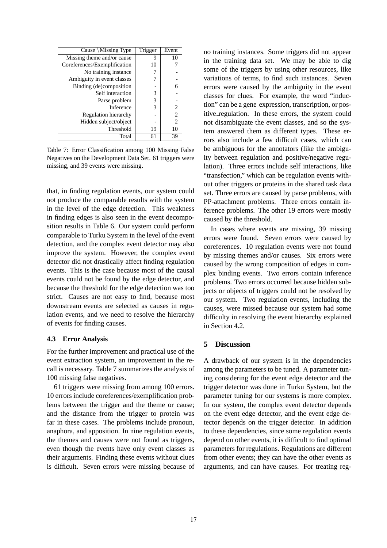| Cause \Missing Type          | Trigger | Event          |
|------------------------------|---------|----------------|
| Missing theme and/or cause   | 9       | 10             |
| Coreferences/Exemplification | 10      |                |
| No training instance         |         |                |
| Ambiguity in event classes   |         |                |
| Binding (de)composition      |         | 6              |
| Self interaction             | 3       |                |
| Parse problem                | 3       |                |
| Inference                    | 3       | 2              |
| Regulation hierarchy         |         | $\overline{c}$ |
| Hidden subject/object        |         | 2              |
| Threshold                    | 19      | 10             |
| Total                        | 61      | 39             |

Table 7: Error Classification among 100 Missing False Negatives on the Development Data Set. 61 triggers were missing, and 39 events were missing.

that, in finding regulation events, our system could not produce the comparable results with the system in the level of the edge detection. This weakness in finding edges is also seen in the event decomposition results in Table 6. Our system could perform comparable to Turku System in the level of the event detection, and the complex event detector may also improve the system. However, the complex event detector did not drastically affect finding regulation events. This is the case because most of the causal events could not be found by the edge detector, and because the threshold for the edge detection was too strict. Causes are not easy to find, because most downstream events are selected as causes in regulation events, and we need to resolve the hierarchy of events for finding causes.

#### **4.3 Error Analysis**

For the further improvement and practical use of the event extraction system, an improvement in the recall is necessary. Table 7 summarizes the analysis of 100 missing false negatives.

61 triggers were missing from among 100 errors. 10 errors include coreferences/exemplification problems between the trigger and the theme or cause; and the distance from the trigger to protein was far in these cases. The problems include pronoun, anaphora, and apposition. In nine regulation events, the themes and causes were not found as triggers, even though the events have only event classes as their arguments. Finding these events without clues is difficult. Seven errors were missing because of no training instances. Some triggers did not appear in the training data set. We may be able to dig some of the triggers by using other resources, like variations of terms, to find such instances. Seven errors were caused by the ambiguity in the event classes for clues. For example, the word "induction" can be a gene expression, transcription, or positive regulation. In these errors, the system could not disambiguate the event classes, and so the system answered them as different types. These errors also include a few difficult cases, which can be ambiguous for the annotators (like the ambiguity between regulation and positive/negative regulation). Three errors include self interactions, like "transfection," which can be regulation events without other triggers or proteins in the shared task data set. Three errors are caused by parse problems, with PP-attachment problems. Three errors contain inference problems. The other 19 errors were mostly caused by the threshold.

In cases where events are missing, 39 missing errors were found. Seven errors were caused by coreferences. 10 regulation events were not found by missing themes and/or causes. Six errors were caused by the wrong composition of edges in complex binding events. Two errors contain inference problems. Two errors occurred because hidden subjects or objects of triggers could not be resolved by our system. Two regulation events, including the causes, were missed because our system had some difficulty in resolving the event hierarchy explained in Section 4.2.

### **5 Discussion**

A drawback of our system is in the dependencies among the parameters to be tuned. A parameter tuning considering for the event edge detector and the trigger detector was done in Turku System, but the parameter tuning for our systems is more complex. In our system, the complex event detector depends on the event edge detector, and the event edge detector depends on the trigger detector. In addition to these dependencies, since some regulation events depend on other events, it is difficult to find optimal parameters for regulations. Regulations are different from other events; they can have the other events as arguments, and can have causes. For treating reg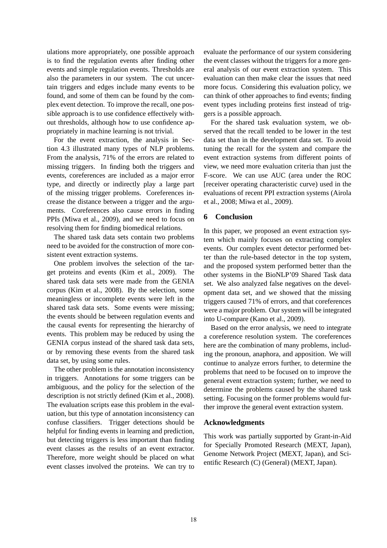ulations more appropriately, one possible approach is to find the regulation events after finding other events and simple regulation events. Thresholds are also the parameters in our system. The cut uncertain triggers and edges include many events to be found, and some of them can be found by the complex event detection. To improve the recall, one possible approach is to use confidence effectively without thresholds, although how to use confidence appropriately in machine learning is not trivial.

For the event extraction, the analysis in Section 4.3 illustrated many types of NLP problems. From the analysis, 71% of the errors are related to missing triggers. In finding both the triggers and events, coreferences are included as a major error type, and directly or indirectly play a large part of the missing trigger problems. Coreferences increase the distance between a trigger and the arguments. Coreferences also cause errors in finding PPIs (Miwa et al., 2009), and we need to focus on resolving them for finding biomedical relations.

The shared task data sets contain two problems need to be avoided for the construction of more consistent event extraction systems.

One problem involves the selection of the target proteins and events (Kim et al., 2009). The shared task data sets were made from the GENIA corpus (Kim et al., 2008). By the selection, some meaningless or incomplete events were left in the shared task data sets. Some events were missing; the events should be between regulation events and the causal events for representing the hierarchy of events. This problem may be reduced by using the GENIA corpus instead of the shared task data sets, or by removing these events from the shared task data set, by using some rules.

The other problem is the annotation inconsistency in triggers. Annotations for some triggers can be ambiguous, and the policy for the selection of the description is not strictly defined (Kim et al., 2008). The evaluation scripts ease this problem in the evaluation, but this type of annotation inconsistency can confuse classifiers. Trigger detections should be helpful for finding events in learning and prediction, but detecting triggers is less important than finding event classes as the results of an event extractor. Therefore, more weight should be placed on what event classes involved the proteins. We can try to evaluate the performance of our system considering the event classes without the triggers for a more general analysis of our event extraction system. This evaluation can then make clear the issues that need more focus. Considering this evaluation policy, we can think of other approaches to find events; finding event types including proteins first instead of triggers is a possible approach.

For the shared task evaluation system, we observed that the recall tended to be lower in the test data set than in the development data set. To avoid tuning the recall for the system and compare the event extraction systems from different points of view, we need more evaluation criteria than just the F-score. We can use AUC (area under the ROC [receiver operating characteristic curve) used in the evaluations of recent PPI extraction systems (Airola et al., 2008; Miwa et al., 2009).

# **6 Conclusion**

In this paper, we proposed an event extraction system which mainly focuses on extracting complex events. Our complex event detector performed better than the rule-based detector in the top system, and the proposed system performed better than the other systems in the BioNLP'09 Shared Task data set. We also analyzed false negatives on the development data set, and we showed that the missing triggers caused 71% of errors, and that coreferences were a major problem. Our system will be integrated into U-compare (Kano et al., 2009).

Based on the error analysis, we need to integrate a coreference resolution system. The coreferences here are the combination of many problems, including the pronoun, anaphora, and apposition. We will continue to analyze errors further, to determine the problems that need to be focused on to improve the general event extraction system; further, we need to determine the problems caused by the shared task setting. Focusing on the former problems would further improve the general event extraction system.

### **Acknowledgments**

This work was partially supported by Grant-in-Aid for Specially Promoted Research (MEXT, Japan), Genome Network Project (MEXT, Japan), and Scientific Research (C) (General) (MEXT, Japan).